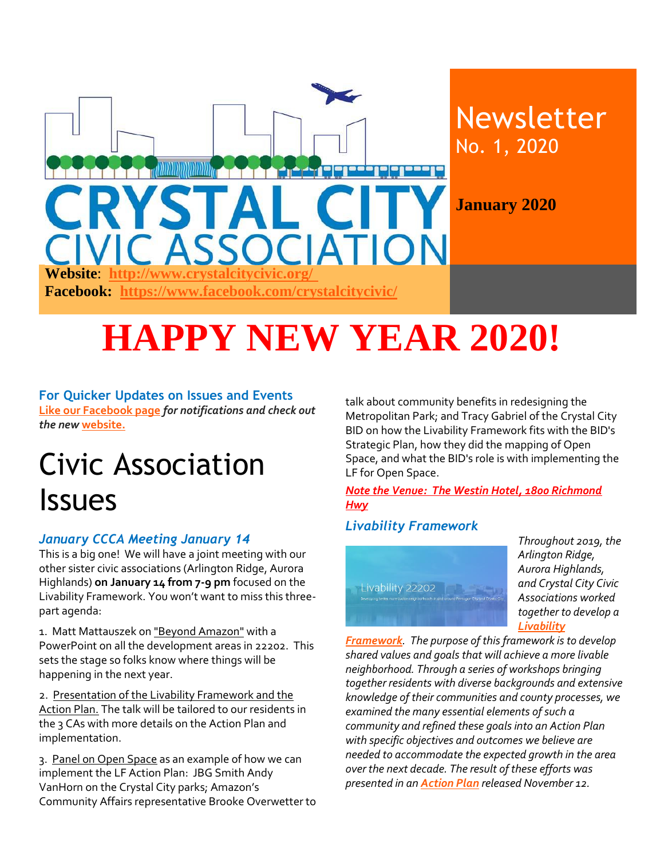

# **HAPPY NEW YEAR 2020!**

#### **For Quicker Updates on Issues and Events**

**[Like our Facebook page](https://www.facebook.com/crystalcitycivic/?ref=aymt_homepage_panel)** *for notifications and check out the new* **[website.](http://www.crystalcitycivic.org/)**

## Civic Association Issues

#### *January CCCA Meeting January 14*

This is a big one! We will have a joint meeting with our other sister civic associations (Arlington Ridge, Aurora Highlands) **on January 14 from 7-9 pm** focused on the Livability Framework. You won't want to miss this threepart agenda:

1. Matt Mattauszek on "Beyond Amazon" with a PowerPoint on all the development areas in 22202. This sets the stage so folks know where things will be happening in the next year.

2. Presentation of the Livability Framework and the Action Plan. The talk will be tailored to our residents in the 3 CAs with more details on the Action Plan and implementation.

3. Panel on Open Space as an example of how we can implement the LF Action Plan: JBG Smith Andy VanHorn on the Crystal City parks; Amazon's Community Affairs representative Brooke Overwetter to talk about community benefits in redesigning the Metropolitan Park; and Tracy Gabriel of the Crystal City BID on how the Livability Framework fits with the BID's Strategic Plan, how they did the mapping of Open Space, and what the BID's role is with implementing the LF for Open Space.

*Note the Venue: The Westin Hotel, 1800 Richmond Hwy*

#### *Livability Framework*



*Throughout 2019, the Arlington Ridge, Aurora Highlands, and Crystal City Civic Associations worked together to develop a [Livability](http://crystalcitycivic.org/22202-livability-framework%206.23.19.pdf)* 

*[Framework](http://crystalcitycivic.org/22202-livability-framework%206.23.19.pdf). The purpose of this framework is to develop shared values and goals that will achieve a more livable neighborhood. Through a series of workshops bringing together residents with diverse backgrounds and extensive knowledge of their communities and county processes, we examined the many essential elements of such a community and refined these goals into an Action Plan with specific objectives and outcomes we believe are needed to accommodate the expected growth in the area over the next decade. The result of these efforts was presented in an [Action Plan](http://livability22202.org/files/Livability22202-Action-Plan-v1.0-12-Nov-2019.pdf) released November 12.*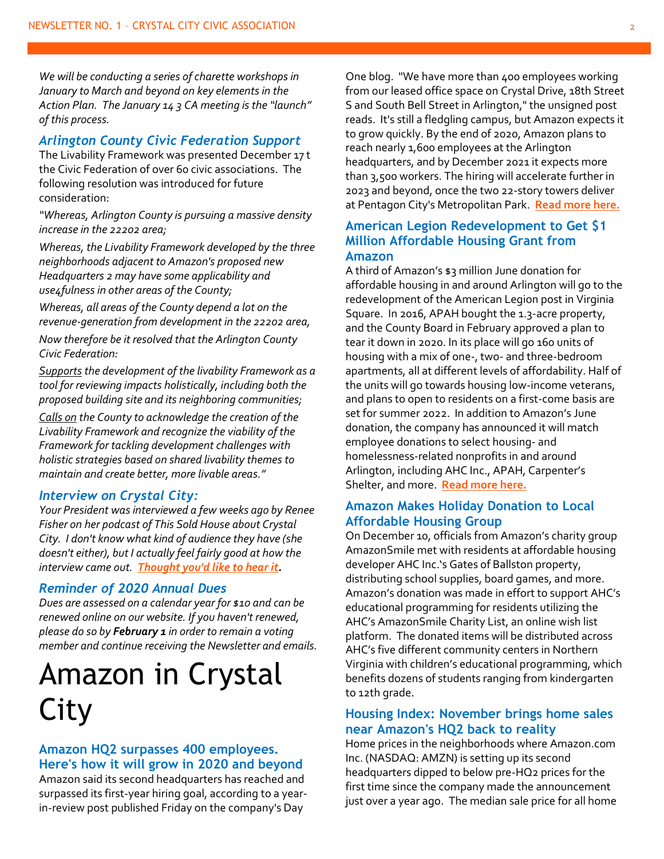*We will be conducting a series of charette workshops in January to March and beyond on key elements in the Action Plan. The January 14 3 CA meeting is the "launch" of this process.*

#### *Arlington County Civic Federation Support*

The Livability Framework was presented December 17 t the Civic Federation of over 60 civic associations. The following resolution was introduced for future consideration:

*"Whereas, Arlington County is pursuing a massive density increase in the 22202 area;*

*Whereas, the Livability Framework developed by the three neighborhoods adjacent to Amazon's proposed new Headquarters 2 may have some applicability and use4fulness in other areas of the County;*

*Whereas, all areas of the County depend a lot on the revenue-generation from development in the 22202 area,*

*Now therefore be it resolved that the Arlington County Civic Federation:*

*Supports the development of the livability Framework as a tool for reviewing impacts holistically, including both the proposed building site and its neighboring communities;*

*Calls on the County to acknowledge the creation of the Livability Framework and recognize the viability of the Framework for tackling development challenges with holistic strategies based on shared livability themes to maintain and create better, more livable areas."*

#### *Interview on Crystal City:*

*Your President was interviewed a few weeks ago by Renee Fisher on her podcast of This Sold House about Crystal City. I don't know what kind of audience they have (she doesn't either), but I actually feel fairly good at how the interview came out. [Thought you'd like to hear it.](https://www.icloud.com/attachment/?u=https%3A%2F%2Fcvws.icloud-content.com%2FB%2FAYBeVQ030B1VUMsTTtEvaqHlrwSpAZVZPM-dyQFIBdIoyeHSLW9pPhTq%2F%24%7Bf%7D%3Fo%3DAt2sQwLd0FFbYm275XUvdVw5mj10n721vAMr7G3M_tWe%26v%3D1%26x%3D3%26a%3DCAogvFA_8a6R4Xjxan0rTnQcZP-gwNcyci81btGSlqIYxuYSJxDd8ank7i0Y3YGluPgtIgEAKggByAD_YovEU1IE5a8EqVoEaT4U6g%26e%3D1578518528%26k%3D%24%7Buk%7D%26fl%3D%26r%3D1209964B-18B1-4652-832B-0674DCFEF211-1%26ckc%3Dcom.apple.largeattachment%26ckz%3D0E9B36D8-B2BB-4AF5-B7E8-D86966BBA9C8%26p%3D28%26s%3DpsjRjX7aDe7a5EkeEd5ebcpm8aA&uk=6DFpYGHlzlcXV08TQjFWLg&f=Sold%20House%20121119%20C%20Fuller%20Crystal%20City%20%28-16d%29.mp3&sz=57701888)*

#### *Reminder of 2020 Annual Dues*

*Dues are assessed on a calendar year for \$10 and can be renewed online on our website. If you haven't renewed, please do so by February 1 in order to remain a voting member and continue receiving the Newsletter and emails.*

### Amazon in Crystal City

#### **Amazon HQ2 surpasses 400 employees. Here's how it will grow in 2020 and beyond**

Amazon said its second headquarters has reached and surpassed its first-year hiring goal, according to a yearin-review post published Friday on the company's Day

One blog. "We have more than 400 employees working from our leased office space on Crystal Drive, 18th Street S and South Bell Street in Arlington," the unsigned post reads. It's still a fledgling campus, but Amazon expects it to grow quickly. By the end of 2020, Amazon plans to reach nearly 1,600 employees at the Arlington headquarters, and by December 2021 it expects more than 3,500 workers. The hiring will accelerate further in 2023 and beyond, once the two 22-story towers deliver at Pentagon City's Metropolitan Park. **[Read more here.](https://www.bizjournals.com/washington/news/2019/12/30/amazon-hq2-surpasses-400-employees-hereshow-it.html?ana=e_ae_set1&j=90417671&t=Afternoon&mkt_tok=eyJpIjoiTUdNd01EY3dZVGRsTldaaCIsInQiOiJiZlpcL3lZbklhM0JFeHRST3d4aXFwTWZ1WGlOTVFISUsrdmkxUTZEVDkrUjZIXC8xSDNHOUVTdDNUWjV2WXRnY2NUd1RJdU9CaEM3WlRRT1R3T0hsNG1RRmR2MGJIWXRXME9nTklScU0wZWZkeUxwZ2RcL1VpN1BialdoNUQ2KzNlcSJ9)**

#### **American Legion Redevelopment to Get \$1 Million Affordable Housing Grant from Amazon**

A third of Amazon's \$3 million June donation for affordable housing in and around Arlington will go to the redevelopment of the American Legion post in Virginia Square. In 2016, APAH bought the 1.3-acre property, and the County Board in February approved a plan to tear it down in 2020. In its place will go 160 units of housing with a mix of one-, two- and three-bedroom apartments, all at different levels of affordability. Half of the units will go towards housing low-income veterans, and plans to open to residents on a first-come basis are set for summer 2022. In addition to Amazon's June donation, the company has announced it will match employee donations to select housing- and homelessness-related nonprofits in and around Arlington, including AHC Inc., APAH, Carpenter's Shelter, and more. **[Read more here.](https://www.arlnow.com/2019/12/05/american-legion-redevelopment-to-get-1-million-affordable-housing-grant-from-amazon/?mc_cid=e68a4eb820&mc_eid=e22d65c5c2)**

#### **Amazon Makes Holiday Donation to Local Affordable Housing Group**

On December 10, officials from Amazon's charity group AmazonSmile met with residents at affordable housing developer AHC Inc.'s Gates of Ballston property, distributing school supplies, board games, and more. Amazon's donation was made in effort to support AHC's educational programming for residents utilizing the AHC's AmazonSmile Charity List, an online wish list platform. The donated items will be distributed across AHC's five different community centers in Northern Virginia with children's educational programming, which benefits dozens of students ranging from kindergarten to 12th grade.

#### **Housing Index: November brings home sales near Amazon's HQ2 back to reality**

Home prices in the neighborhoods where Amazon.com Inc. (NASDAQ: AMZN) is setting up its second headquarters dipped to below pre-HQ2 prices for the first time since the company made the announcement just over a year ago. The median sale price for all home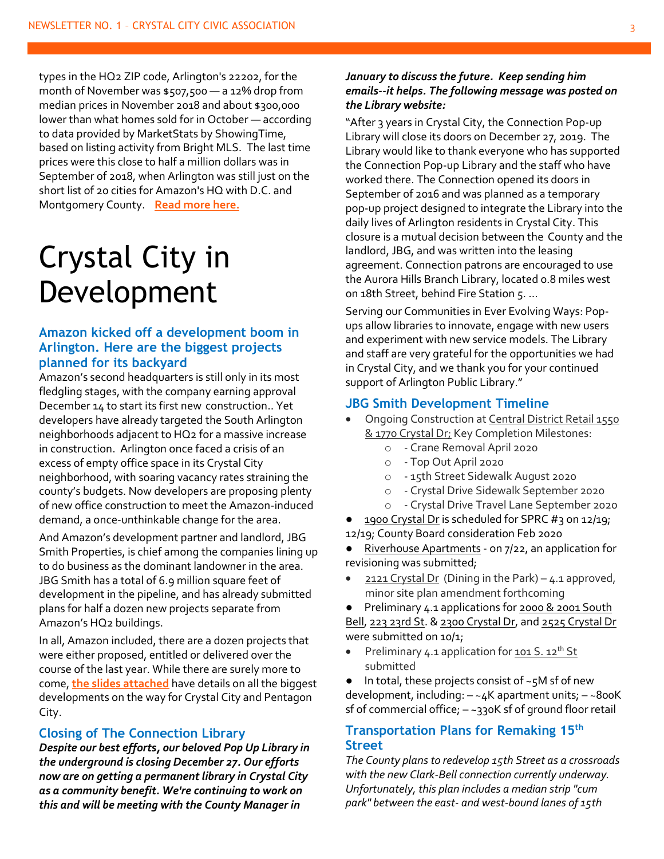types in the HQ2 ZIP code, Arlington's 22202, for the month of November was \$507,500 — a 12% drop from median prices in November 2018 and about \$300,000 lower than what homes sold for in October — according to data provided by MarketStats by ShowingTime, based on listing activity from Bright MLS. The last time prices were this close to half a million dollars was in September of 2018, when Arlington was still just on the short list of 20 cities for Amazon's HQ with D.C. and Montgomery County. **[Read more here.](https://www.bizjournals.com/washington/news/2019/12/11/housing-index-november-brings-home-sales-near.html?ana=e_wash_bn_editorschoice&j=90368121&t=Breaking%20News&mkt_tok=eyJpIjoiWXpGak1qYzNabU15TURFeSIsInQiOiI2N0FUUFFMOHRkcnF1dTR6U1hMclF5VFpMNUZCcmc4c3gzSmMrMkFzdHBmYk0xVGgrZ1JcL3lKOUZMYXd4Q3NTK25IZFhFN3I5aTRHQnJBeldJQm1uTTNzV1RIdVBhQlk3b3ZuM3dETXB6T09Idjdtc2JYekxFT1hmVFhHUElaV2cifQ%3D%3D)**

### Crystal City in Development

#### **Amazon kicked off a development boom in Arlington. Here are the biggest projects planned for its backyard**

Amazon's second headquarters is still only in its most fledgling stages, with the company earning approval December 14 to start its first new construction.. Yet developers have already targeted the South Arlington neighborhoods adjacent to HQ2 for a massive increase in construction. Arlington once faced a crisis of an excess of empty office space in its Crystal City neighborhood, with soaring vacancy rates straining the county's budgets. Now developers are proposing plenty of new office construction to meet the Amazon-induced demand, a once-unthinkable change for the area.

And Amazon's development partner and landlord, JBG Smith Properties, is chief among the companies lining up to do business as the dominant landowner in the area. JBG Smith has a total of 6.9 million square feet of development in the pipeline, and has already submitted plans for half a dozen new projects separate from Amazon's HQ2 buildings.

In all, Amazon included, there are a dozen projects that were either proposed, entitled or delivered over the course of the last year. While there are surely more to come, **[the slides attached](https://www.bizjournals.com/washington/news/2019/12/17/amazon-kicked-off-a-development-boom-in-arlington.html?ana=e_ae_set1&j=90363121&t=Afternoon&mkt_tok=eyJpIjoiWW1NMFlqVXdZalExTkRJeiIsInQiOiIrNkRHbXZuK0VGa2MyOEtCM3BMN0FrZnp6YXZMWGlJMFdaUjFoTWhYQitOTzMzUmFyK2RsdVpLWUpNRVBzcFJ4dWo3WENOcWhoZnBnV2RWRVB3OXkwTktlMGo5ODBUMTk0WHZWWFkxYnNrU3JLb1oxRVpJMm52K3cyWFwvUHhKUkUifQ%3D%3D)** have details on all the biggest developments on the way for Crystal City and Pentagon City.

#### **Closing of The Connection Library**

*Despite our best efforts, our beloved Pop Up Library in the underground is closing December 27. Our efforts now are on getting a permanent library in Crystal City as a community benefit. We're continuing to work on this and will be meeting with the County Manager in* 

#### *January to discuss the future. Keep sending him emails--it helps. The following message was posted on the Library website:*

"After 3 years in Crystal City, the Connection Pop-up Library will close its doors on December 27, 2019. The Library would like to thank everyone who has supported the Connection Pop-up Library and the staff who have worked there. The Connection opened its doors in September of 2016 and was planned as a temporary pop-up project designed to integrate the Library into the daily lives of Arlington residents in Crystal City. This closure is a mutual decision between the County and the landlord, JBG, and was written into the leasing agreement. Connection patrons are encouraged to use the Aurora Hills Branch Library, located 0.8 miles west on 18th Street, behind Fire Station 5. …

Serving our Communities in Ever Evolving Ways: Popups allow libraries to innovate, engage with new users and experiment with new service models. The Library and staff are very grateful for the opportunities we had in Crystal City, and we thank you for your continued support of Arlington Public Library."

#### **JBG Smith Development Timeline**

- Ongoing Construction at Central District Retail 1550 & 1770 Crystal Dr; Key Completion Milestones:
	- o Crane Removal April 2020
	- o Top Out April 2020
	- o 15th Street Sidewalk August 2020
	- o Crystal Drive Sidewalk September 2020
	- o Crystal Drive Travel Lane September 2020
- 1900 Crystal Dr is scheduled for SPRC #3 on 12/19; 12/19; County Board consideration Feb 2020
- Riverhouse Apartments on 7/22, an application for revisioning was submitted;
- $2121$  Crystal Dr (Dining in the Park) 4.1 approved, minor site plan amendment forthcoming
- Preliminary 4.1 applications for 2000 & 2001 South

Bell, 223 23rd St. & 2300 Crystal Dr, and 2525 Crystal Dr were submitted on 10/1;

Preliminary  $4.1$  application for  $101 S. 12$ <sup>th</sup> St submitted

● In total, these projects consist of ~5M sf of new development, including: – ~4K apartment units; – ~800K sf of commercial office; – ~330K sf of ground floor retail

#### **Transportation Plans for Remaking 15th Street**

*The County plans to redevelop 15th Street as a crossroads with the new Clark-Bell connection currently underway. Unfortunately, this plan includes a median strip "cum park" between the east- and west-bound lanes of 15th*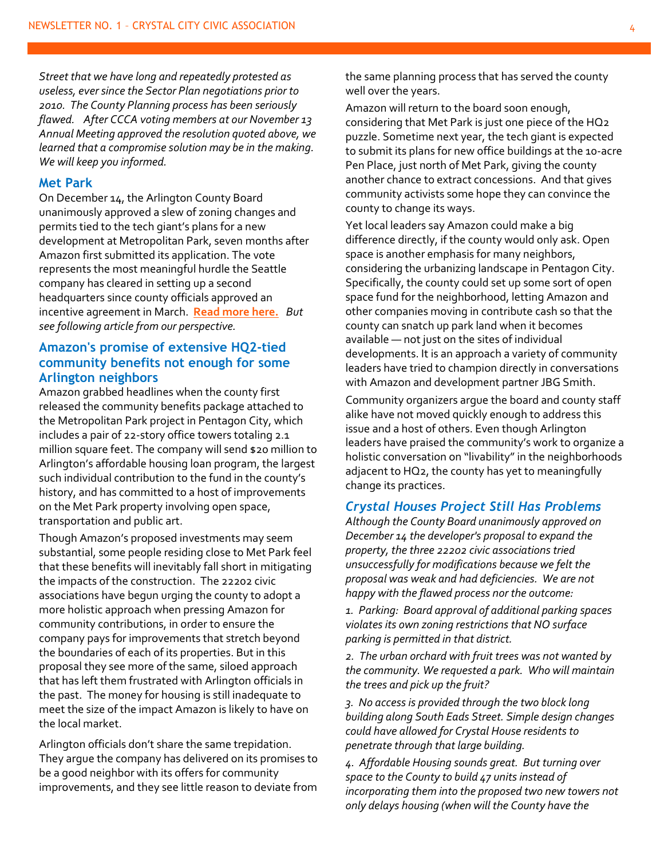*Street that we have long and repeatedly protested as useless, ever since the Sector Plan negotiations prior to 2010. The County Planning process has been seriously flawed. After CCCA voting members at our November 13 Annual Meeting approved the resolution quoted above, we learned that a compromise solution may be in the making. We will keep you informed.*

#### **Met Park**

On December 14, the Arlington County Board unanimously approved a slew of zoning changes and permits tied to the tech giant's plans for a new development at Metropolitan Park, seven months after Amazon first submitted its application. The vote represents the most meaningful hurdle the Seattle company has cleared in setting up a second headquarters since county officials approved an incentive agreement in March. **[Read more here.](https://www.bizjournals.com/washington/news/2019/12/14/amazon-earns-approval-for-its-first-new-hq2.html?ana=e_wash_bn_breakingnews&j=90349001&t=Breaking%20News&mkt_tok=eyJpIjoiTUdZeE1XRm1OVEkxTkRFMSIsInQiOiJNZ2s1VlJQNm5LY0tRRVBvOGVxeXNtN3VpZktqd05DN1BpVHYyRTZSYkRLY0Izc2dVK21cL3R6TFpBN25acjBPYjlkeDlSR3VnNTJ4WnFqNklNZnlKWXBXOTFhZ1JzK1hzaDgxUzVCaE9yRmNJUVpTaVZ4czdFdjJxSnQzWW1sNlIifQ%3D%3D)** *But see following article from our perspective.*

#### **Amazon's promise of extensive HQ2-tied community benefits not enough for some Arlington neighbors**

Amazon grabbed headlines when the county first released the community benefits package attached to the Metropolitan Park project in Pentagon City, which includes a pair of 22-story office towers totaling 2.1 million square feet. The company will send \$20 million to Arlington's affordable housing loan program, the largest such individual contribution to the fund in the county's history, and has committed to a host of improvements on the Met Park property involving open space, transportation and public art.

Though Amazon's proposed investments may seem substantial, some people residing close to Met Park feel that these benefits will inevitably fall short in mitigating the impacts of the construction. The 22202 civic associations have begun urging the county to adopt a more holistic approach when pressing Amazon for community contributions, in order to ensure the company pays for improvements that stretch beyond the boundaries of each of its properties. But in this proposal they see more of the same, siloed approach that has left them frustrated with Arlington officials in the past. The money for housing is still inadequate to meet the size of the impact Amazon is likely to have on the local market.

Arlington officials don't share the same trepidation. They argue the company has delivered on its promises to be a good neighbor with its offers for community improvements, and they see little reason to deviate from

the same planning process that has served the county well over the years.

Amazon will return to the board soon enough, considering that Met Park is just one piece of the HQ2 puzzle. Sometime next year, the tech giant is expected to submit its plans for new office buildings at the 10-acre Pen Place, just north of Met Park, giving the county another chance to extract concessions. And that gives community activists some hope they can convince the county to change its ways.

Yet local leaders say Amazon could make a big difference directly, if the county would only ask. Open space is another emphasis for many neighbors, considering the urbanizing landscape in Pentagon City. Specifically, the county could set up some sort of open space fund for the neighborhood, letting Amazon and other companies moving in contribute cash so that the county can snatch up park land when it becomes available — not just on the sites of individual developments. It is an approach a variety of community leaders have tried to champion directly in conversations with Amazon and development partner JBG Smith.

Community organizers argue the board and county staff alike have not moved quickly enough to address this issue and a host of others. Even though Arlington leaders have praised the community's work to organize a holistic conversation on "livability" in the neighborhoods adjacent to HQ2, the county has yet to meaningfully change its practices.

#### *Crystal Houses Project Still Has Problems*

*Although the County Board unanimously approved on December 14 the developer's proposal to expand the property, the three 22202 civic associations tried unsuccessfully for modifications because we felt the proposal was weak and had deficiencies. We are not happy with the flawed process nor the outcome:*

*1. Parking: Board approval of additional parking spaces violates its own zoning restrictions that NO surface parking is permitted in that district.*

*2. The urban orchard with fruit trees was not wanted by the community. We requested a park. Who will maintain the trees and pick up the fruit?*

*3. No access is provided through the two block long building along South Eads Street. Simple design changes could have allowed for Crystal House residents to penetrate through that large building.* 

*4. Affordable Housing sounds great. But turning over space to the County to build 47 units instead of incorporating them into the proposed two new towers not only delays housing (when will the County have the*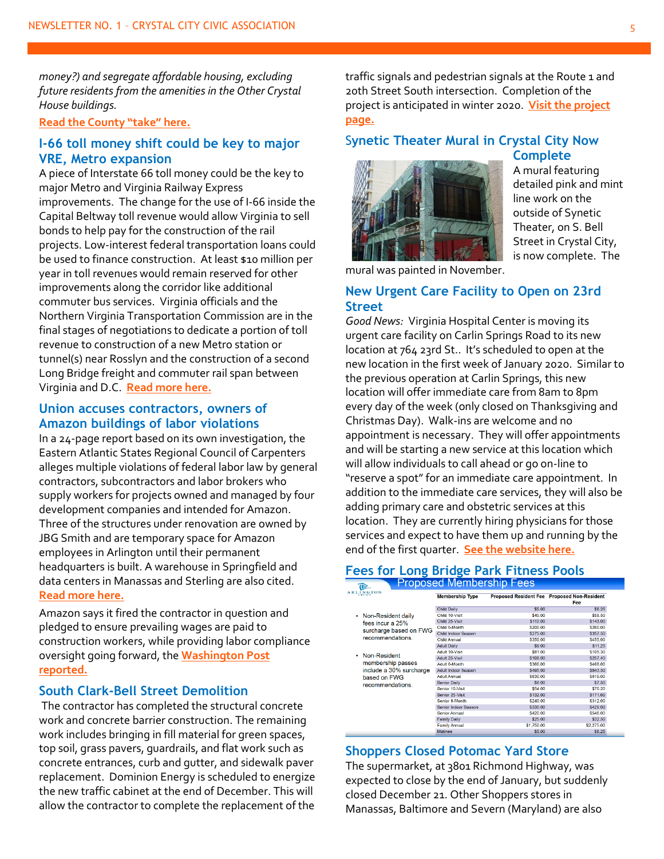*money?) and segregate affordable housing, excluding future residents from the amenities in the Other Crystal House buildings.*

#### **[Read the County "take" here.](https://newsroom.arlingtonva.us/release/board-approves-crystal-houses-development/)**

#### **I-66 toll money shift could be key to major VRE, Metro expansion**

A piece of Interstate 66 toll money could be the key to major Metro and Virginia Railway Express improvements. The change for the use of I-66 inside the Capital Beltway toll revenue would allow Virginia to sell bonds to help pay for the construction of the rail projects. Low-interest federal transportation loans could be used to finance construction. At least \$10 million per year in toll revenues would remain reserved for other improvements along the corridor like additional commuter bus services. Virginia officials and the Northern Virginia Transportation Commission are in the final stages of negotiations to dedicate a portion of toll revenue to construction of a new Metro station or tunnel(s) near Rosslyn and the construction of a second Long Bridge freight and commuter rail span between Virginia and D.C. **[Read more here.](https://www.insidenova.com/news/regional/i--toll-money-shift-could-be-key-to-major/article_cb144732-20c7-11ea-80ac-fb59c30aa5b5.html#utm_source=insidenova.com&utm_campaign=%2Fnewsletters%2Finsidenova-top-stories%2F%3F-dc%3D1576602883&utm_medium=email&utm_content=read%20more)**

#### **Union accuses contractors, owners of Amazon buildings of labor violations**

In a 24-page report based on its own investigation, the Eastern Atlantic States Regional Council of Carpenters alleges multiple violations of federal labor law by general contractors, subcontractors and labor brokers who supply workers for projects owned and managed by four development companies and intended for Amazon. Three of the structures under renovation are owned by JBG Smith and are temporary space for Amazon employees in Arlington until their permanent headquarters is built. A warehouse in Springfield and data centers in Manassas and Sterling are also cited. **[Read more here.](https://www.washingtonpost.com/local/virginia-politics/union-accuses-contractors-owners-of-amazon-buildings-of-labor-violations/2019/12/12/36900d8c-1b66-11ea-8d58-5ac3600967a1_story.html?utm_campaign=afternoon_buzz&utm_medium=Email&utm_source=Newsletter&wpisrc=nl_buzz&wpmm=1)**

Amazon says it fired the contractor in question and pledged to ensure prevailing wages are paid to construction workers, while providing labor compliance oversight going forward, the **[Washington Post](https://www.washingtonpost.com/local/virginia-politics/amazon-gets-final-okay-for-its-new-hq-in-arlington-despite-organized-labor-protest/2019/12/14/40b37760-1c90-11ea-b4c1-fd0d91b60d9e_story.html)  [reported.](https://www.washingtonpost.com/local/virginia-politics/amazon-gets-final-okay-for-its-new-hq-in-arlington-despite-organized-labor-protest/2019/12/14/40b37760-1c90-11ea-b4c1-fd0d91b60d9e_story.html)**

#### **South Clark-Bell Street Demolition**

The contractor has completed the structural concrete work and concrete barrier construction. The remaining work includes bringing in fill material for green spaces, top soil, grass pavers, guardrails, and flat work such as concrete entrances, curb and gutter, and sidewalk paver replacement. Dominion Energy is scheduled to energize the new traffic cabinet at the end of December. This will allow the contractor to complete the replacement of the

traffic signals and pedestrian signals at the Route 1 and 20th Street South intersection. Completion of the project is anticipated in winter 2020. **[Visit the project](https://lnks.gd/l/eyJhbGciOiJIUzI1NiJ9.eyJidWxsZXRpbl9saW5rX2lkIjoxMDYsInVyaSI6ImJwMjpjbGljayIsImJ1bGxldGluX2lkIjoiMjAxOTEyMTEuMTQxNzY1MTEiLCJ1cmwiOiJodHRwczovL3Byb2plY3RzLmFybGluZ3RvbnZhLnVzL3Byb2plY3RzL3NvdXRoLWNsYXJrLWJlbGwtc3RyZWV0LWRlbW9saXRpb24vIn0.2FgxZZ84PiICd_eQ6wdbpl-Kz8AJxVBRRfVnvE5Z4Ek/br/72723051226-l)  [page.](https://lnks.gd/l/eyJhbGciOiJIUzI1NiJ9.eyJidWxsZXRpbl9saW5rX2lkIjoxMDYsInVyaSI6ImJwMjpjbGljayIsImJ1bGxldGluX2lkIjoiMjAxOTEyMTEuMTQxNzY1MTEiLCJ1cmwiOiJodHRwczovL3Byb2plY3RzLmFybGluZ3RvbnZhLnVzL3Byb2plY3RzL3NvdXRoLWNsYXJrLWJlbGwtc3RyZWV0LWRlbW9saXRpb24vIn0.2FgxZZ84PiICd_eQ6wdbpl-Kz8AJxVBRRfVnvE5Z4Ek/br/72723051226-l)**

#### S**ynetic Theater Mural in Crystal City Now**



A mural featuring detailed pink and mint line work on the outside of Synetic Theater, on S. Bell Street in Crystal City, is now complete. The

**Complete**

mural was painted in November.

#### **New Urgent Care Facility to Open on 23rd Street**

*Good News:* Virginia Hospital Center is moving its urgent care facility on Carlin Springs Road to its new location at 764 23rd St.. It's scheduled to open at the new location in the first week of January 2020. Similar to the previous operation at Carlin Springs, this new location will offer immediate care from 8am to 8pm every day of the week (only closed on Thanksgiving and Christmas Day). Walk-ins are welcome and no appointment is necessary. They will offer appointments and will be starting a new service at this location which will allow individuals to call ahead or go on-line to "reserve a spot" for an immediate care appointment. In addition to the immediate care services, they will also be adding primary care and obstetric services at this location. They are currently hiring physicians for those services and expect to have them up and running by the end of the first quarter. **[See the website here.](https://www.vhcphysiciangroup.com/news/2019/12/urgent-care-closing-immediate-care-opening/)**

### **Fees for Long Bridge Park Fitness Pools**

| <b>ARLINGTON</b>                                                                                                                                                                        | <b>Membership Type</b> |              | Proposed Resident Fee Proposed Non-Resident<br>Fee |
|-----------------------------------------------------------------------------------------------------------------------------------------------------------------------------------------|------------------------|--------------|----------------------------------------------------|
|                                                                                                                                                                                         | <b>Child Daily</b>     | \$5.00       | \$6.25                                             |
| Non-Resident daily<br>fees incur a 25%<br>surcharge based on FWG<br>recommendations<br>Non-Resident<br>membership passes<br>include a 30% surcharge<br>based on FWG<br>recommendations. | Child 10-Visit         | \$45.00      | \$58.50                                            |
|                                                                                                                                                                                         | Child 25-Visit         | \$110.00     | \$143.00                                           |
|                                                                                                                                                                                         | Child 6-Month          | \$200.00     | \$260.00                                           |
|                                                                                                                                                                                         | Child Indoor Season    | \$275.00     | \$357.50                                           |
|                                                                                                                                                                                         | <b>Child Annual</b>    | \$350,00     | \$455,00                                           |
|                                                                                                                                                                                         | <b>Adult Daily</b>     | \$9,00       | \$11.25                                            |
|                                                                                                                                                                                         | Adult 10-Visit         | \$81.00      | \$105.30                                           |
|                                                                                                                                                                                         | Adult 25-Visit         | \$198.00     | \$257.40                                           |
|                                                                                                                                                                                         | Adult 6-Month          | \$360.00     | \$468.00                                           |
|                                                                                                                                                                                         | Adult Indoor Season    | \$495.00     | \$643.50                                           |
|                                                                                                                                                                                         | <b>Adult Annual</b>    | \$630.00     | \$819,00                                           |
|                                                                                                                                                                                         | Senior Daily           | <b>S6.00</b> | \$7.50                                             |
|                                                                                                                                                                                         | Senior 10-Visit        | \$54.00      | \$70.20                                            |
|                                                                                                                                                                                         | Senior 25-Visit        | \$132.00     | \$171.60                                           |
|                                                                                                                                                                                         | Senior 6-Month         | \$240.00     | \$312.00                                           |
|                                                                                                                                                                                         | Senior Indoor Season   | \$330.00     | \$429.00                                           |
|                                                                                                                                                                                         | Senior Annual          | \$420.00     | \$546.00                                           |
|                                                                                                                                                                                         | <b>Family Daily</b>    | \$25.00      | \$32.50                                            |
|                                                                                                                                                                                         | <b>Family Annual</b>   | \$1,750,00   | \$2,275.00                                         |
|                                                                                                                                                                                         | Matinee                | \$5.00       | \$6.25                                             |

#### **Shoppers Closed Potomac Yard Store**

The supermarket, at 3801 Richmond Highway, was expected to close by the end of January, but suddenly closed December 21. Other Shoppers stores in Manassas, Baltimore and Severn (Maryland) are also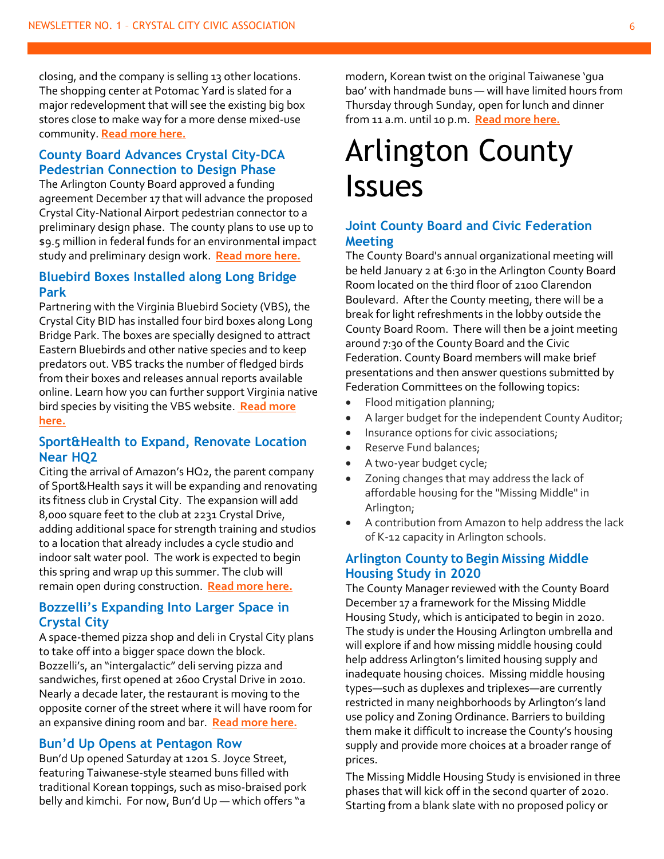closing, and the company is selling 13 other locations. The shopping center at Potomac Yard is slated for a major redevelopment that will see the existing big box stores close to make way for a more dense mixed-use community. **[Read more here.](https://www.alxnow.com/2019/12/06/just-in-shoppers-to-close-potomac-yard-store/?mc_cid=ac8f6e462e&mc_eid=e22d65c5c2)**

#### **County Board Advances Crystal City-DCA Pedestrian Connection to Design Phase**

The Arlington County Board approved a funding agreement December 17 that will advance the proposed Crystal City-National Airport pedestrian connector to a preliminary design phase. The county plans to use up to \$9.5 million in federal funds for an environmental impact study and preliminary design work. **[Read more here.](https://www.arlnow.com/2019/12/12/county-board-to-advance-crystal-city-dca-pedestrian-connection-to-design-phase/?mc_cid=40b151b54a&mc_eid=e22d65c5c2)**

#### **Bluebird Boxes Installed along Long Bridge Park**

Partnering with the Virginia Bluebird Society (VBS), the Crystal City BID has installed four bird boxes along Long Bridge Park. The boxes are specially designed to attract Eastern Bluebirds and other native species and to keep predators out. VBS tracks the number of fledged birds from their boxes and releases annual reports available online. Learn how you can further support Virginia native bird species by visiting the VBS website. **[Read more](http://www.virginiabluebirds.org/about-bluebirds/feeding-bluebirds/)  [here.](http://www.virginiabluebirds.org/about-bluebirds/feeding-bluebirds/)**

#### **Sport&Health to Expand, Renovate Location Near HQ2**

Citing the arrival of Amazon's HQ2, the parent company of Sport&Health says it will be expanding and renovating its fitness club in Crystal City. The expansion will add 8,000 square feet to the club at 2231 Crystal Drive, adding additional space for strength training and studios to a location that already includes a cycle studio and indoor salt water pool. The work is expected to begin this spring and wrap up this summer. The club will remain open during construction. **[Read more here.](https://www.arlnow.com/2019/12/31/sporthealth-to-expand-renovate-location-near-hq2/?mc_cid=7e80e11e2c&mc_eid=e22d65c5c2)**

#### **Bozzelli's Expanding Into Larger Space in Crystal City**

A space-themed pizza shop and deli in Crystal City plans to take off into a bigger space down the block. Bozzelli's, an "intergalactic" deli serving pizza and sandwiches, first opened at 2600 Crystal Drive in 2010. Nearly a decade later, the restaurant is moving to the opposite corner of the street where it will have room for an expansive dining room and bar. **[Read more here.](https://www.arlnow.com/2019/12/13/bozzellis-expanding-into-larger-space-in-crystal-city/?mc_cid=e843fe3894&mc_eid=e22d65c5c2)**

#### **Bun'd Up Opens at Pentagon Row**

Bun'd Up opened Saturday at 1201 S. Joyce Street, featuring Taiwanese-style steamed buns filled with traditional Korean toppings, such as miso-braised pork belly and kimchi. For now, Bun'd Up - which offers "a

modern, Korean twist on the original Taiwanese 'gua bao' with handmade buns — will have limited hours from Thursday through Sunday, open for lunch and dinner from 11 a.m. until 10 p.m. **[Read more here.](https://www.arlnow.com/2019/12/23/bund-up-opens-at-pentagon-row/?mc_cid=234b101c5e&mc_eid=e22d65c5c2)**

### Arlington County Issues

#### **Joint County Board and Civic Federation Meeting**

The County Board's annual organizational meeting will be held January 2 at 6:30 in the Arlington County Board Room located on the third floor of 2100 Clarendon Boulevard. After the County meeting, there will be a break for light refreshments in the lobby outside the County Board Room. There will then be a joint meeting around 7:30 of the County Board and the Civic Federation. County Board members will make brief presentations and then answer questions submitted by Federation Committees on the following topics:

- Flood mitigation planning;
- A larger budget for the independent County Auditor;
- Insurance options for civic associations;
- Reserve Fund balances;
- A two-year budget cycle;
- Zoning changes that may address the lack of affordable housing for the "Missing Middle" in Arlington;
- A contribution from Amazon to help address the lack of K-12 capacity in Arlington schools.

#### **Arlington County to Begin Missing Middle Housing Study in 2020**

The County Manager reviewed with the County Board December 17 a framework for the Missing Middle Housing Study, which is anticipated to begin in 2020. The study is under the Housing Arlington umbrella and will explore if and how missing middle housing could help address Arlington's limited housing supply and inadequate housing choices. Missing middle housing types—such as duplexes and triplexes—are currently restricted in many neighborhoods by Arlington's land use policy and Zoning Ordinance. Barriers to building them make it difficult to increase the County's housing supply and provide more choices at a broader range of prices.

The Missing Middle Housing Study is envisioned in three phases that will kick off in the second quarter of 2020. Starting from a blank slate with no proposed policy or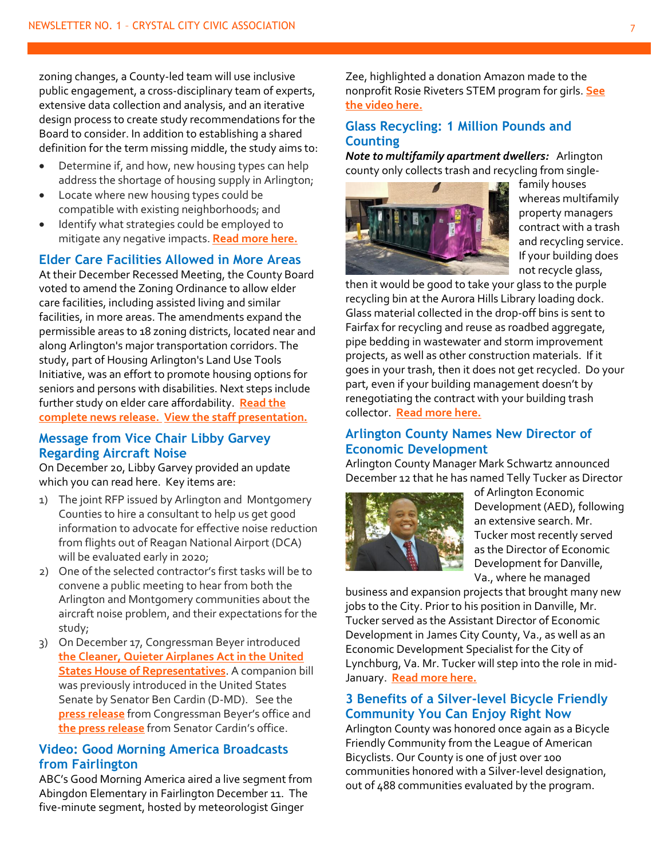zoning changes, a County-led team will use inclusive public engagement, a cross-disciplinary team of experts, extensive data collection and analysis, and an iterative design process to create study recommendations for the Board to consider. In addition to establishing a shared definition for the term missing middle, the study aims to:

- Determine if, and how, new housing types can help address the shortage of housing supply in Arlington;
- Locate where new housing types could be compatible with existing neighborhoods; and
- Identify what strategies could be employed to mitigate any negative impacts. **[Read more here.](https://newsroom.arlingtonva.us/release/arlington-county-missing-middle-housing-study/)**

#### **Elder Care Facilities Allowed in More Areas**

At their December Recessed Meeting, the County Board voted to amend the Zoning Ordinance to allow elder care facilities, including assisted living and similar facilities, in more areas. The amendments expand the permissible areas to 18 zoning districts, located near and along Arlington's major transportation corridors. The study, part of Housing Arlington's Land Use Tools Initiative, was an effort to promote housing options for seniors and persons with disabilities. Next steps include further study on elder care affordability. **[Read the](https://lnks.gd/l/eyJhbGciOiJIUzI1NiJ9.eyJidWxsZXRpbl9saW5rX2lkIjoxMDYsInVyaSI6ImJwMjpjbGljayIsImJ1bGxldGluX2lkIjoiMjAxOTEyMjAuMTQ2NTY3NTEiLCJ1cmwiOiJodHRwczovL25ld3Nyb29tLmFybGluZ3RvbnZhLnVzL3JlbGVhc2UvYXJsaW5ndG9uLXRvLWFsbG93LWVsZGVyLWNhcmUtZmFjaWxpdGllcy1pbi1tb3JlLWFyZWFzLyJ9.PLWUko9qMAnLEEVctcPfxscUBvKEp2BZvkOWmF04kYc/br/73412544037-l)  [complete news release.](https://lnks.gd/l/eyJhbGciOiJIUzI1NiJ9.eyJidWxsZXRpbl9saW5rX2lkIjoxMDYsInVyaSI6ImJwMjpjbGljayIsImJ1bGxldGluX2lkIjoiMjAxOTEyMjAuMTQ2NTY3NTEiLCJ1cmwiOiJodHRwczovL25ld3Nyb29tLmFybGluZ3RvbnZhLnVzL3JlbGVhc2UvYXJsaW5ndG9uLXRvLWFsbG93LWVsZGVyLWNhcmUtZmFjaWxpdGllcy1pbi1tb3JlLWFyZWFzLyJ9.PLWUko9qMAnLEEVctcPfxscUBvKEp2BZvkOWmF04kYc/br/73412544037-l) [View the staff presentation.](https://lnks.gd/l/eyJhbGciOiJIUzI1NiJ9.eyJidWxsZXRpbl9saW5rX2lkIjoxMDcsInVyaSI6ImJwMjpjbGljayIsImJ1bGxldGluX2lkIjoiMjAxOTEyMjAuMTQ2NTY3NTEiLCJ1cmwiOiJodHRwczovL2FybGluZ3RvbnZhLnMzLmFtYXpvbmF3cy5jb20vd3AtY29udGVudC91cGxvYWRzL3NpdGVzLzE1LzIwMTkvMTIvRWxkZXItQ2FyZS1Vc2VzLXN0YWZmLXByZXNlbnRhdGlvbi5wZGYifQ.V8P6j4H2iwGdfQPxH7zvZ3C1fpRwxqs2P4WB1pNB-tM/br/73412544037-l)**

#### **Message from Vice Chair Libby Garvey Regarding Aircraft Noise**

On December 20, Libby Garvey provided an update which you can read here. Key items are:

- 1) The joint RFP issued by Arlington and Montgomery Counties to hire a consultant to help us get good information to advocate for effective noise reduction from flights out of Reagan National Airport (DCA) will be evaluated early in 2020;
- 2) One of the selected contractor's first tasks will be to convene a public meeting to hear from both the Arlington and Montgomery communities about the aircraft noise problem, and their expectations for the study;
- 3) On December 17, Congressman Beyer introduced **[the Cleaner, Quieter Airplanes Act in the United](https://beyer.house.gov/uploadedfiles/cleaner_quieter_airplanes_act.pdf)  [States House of Representatives](https://beyer.house.gov/uploadedfiles/cleaner_quieter_airplanes_act.pdf)**. A companion bill was previously introduced in the United States Senate by Senator Ben Cardin (D-MD). See the **[press release](https://beyer.house.gov/news/documentsingle.aspx?DocumentID=4681)** from Congressman Beyer's office and **[the press release](https://www.cardin.senate.gov/newsroom/press/release/cardin-legislation-would-accelerate-development-of-quieter-airplanes)** from Senator Cardin's office.

#### **Video: Good Morning America Broadcasts from Fairlington**

ABC's Good Morning America aired a live segment from Abingdon Elementary in Fairlington December 11. The five-minute segment, hosted by meteorologist Ginger

Zee, highlighted a donation Amazon made to the nonprofit Rosie Riveters STEM program for girls. **[See](https://www.arlnow.com/2019/12/12/video-good-morning-america-broadcasts-from-fairlington/?mc_cid=40b151b54a&mc_eid=e22d65c5c2)  [the video here.](https://www.arlnow.com/2019/12/12/video-good-morning-america-broadcasts-from-fairlington/?mc_cid=40b151b54a&mc_eid=e22d65c5c2)**

#### **Glass Recycling: 1 Million Pounds and Counting**

*Note to multifamily apartment dwellers:* Arlington county only collects trash and recycling from single-



family houses whereas multifamily property managers contract with a trash and recycling service. If your building does not recycle glass,

then it would be good to take your glass to the purple recycling bin at the Aurora Hills Library loading dock. Glass material collected in the drop-off bins is sent to Fairfax for recycling and reuse as roadbed aggregate, pipe bedding in wastewater and storm improvement projects, as well as other construction materials. If it goes in your trash, then it does not get recycled. Do your part, even if your building management doesn't by renegotiating the contract with your building trash collector. **[Read more here.](https://newsroom.arlingtonva.us/release/glass-recycling-1-million-pounds-and-counting/)**

#### **Arlington County Names New Director of Economic Development**

Arlington County Manager Mark Schwartz announced December 12 that he has named Telly Tucker as Director



of Arlington Economic Development (AED), following an extensive search. Mr. Tucker most recently served as the Director of Economic Development for Danville, Va., where he managed

business and expansion projects that brought many new jobs to the City. Prior to his position in Danville, Mr. Tucker served as the Assistant Director of Economic Development in James City County, Va., as well as an Economic Development Specialist for the City of Lynchburg, Va. Mr. Tucker will step into the role in mid-January. **[Read more here.](https://newsroom.arlingtonva.us/release/arlington-county-names-new-director-of-economic-development/)**

#### **3 Benefits of a Silver-level Bicycle Friendly Community You Can Enjoy Right Now**

Arlington County was honored once again as a Bicycle Friendly Community from the League of American Bicyclists. Our County is one of just over 100 communities honored with a Silver-level designation, out of 488 communities evaluated by the program.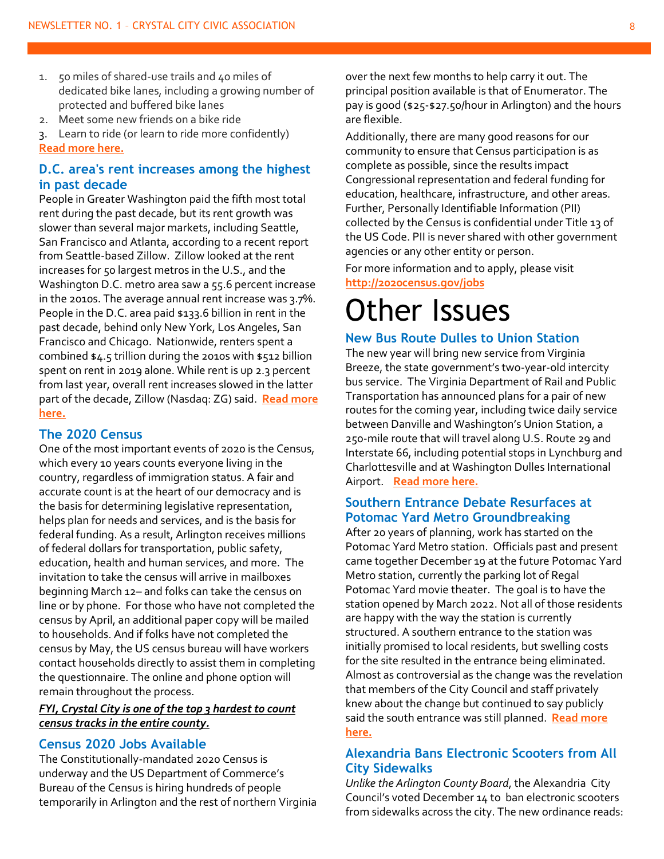- 1. 50 miles of shared-use trails and 40 miles of dedicated bike lanes, including a growing number of protected and buffered bike lanes
- 2. Meet some new friends on a bike ride

3. Learn to ride (or learn to ride more confidently) **[Read more here.](https://newsroom.arlingtonva.us/release/silver-level-bicycle-friendly-community/)**

#### **D.C. area's rent increases among the highest in past decade**

People in Greater Washington paid the fifth most total rent during the past decade, but its rent growth was slower than several major markets, including Seattle, San Francisco and Atlanta, according to a recent report from Seattle-based Zillow. Zillow looked at the rent increases for 50 largest metros in the U.S., and the Washington D.C. metro area saw a 55.6 percent increase in the 2010s. The average annual rent increase was 3.7%. People in the D.C. area paid \$133.6 billion in rent in the past decade, behind only New York, Los Angeles, San Francisco and Chicago. Nationwide, renters spent a combined \$4.5 trillion during the 2010s with \$512 billion spent on rent in 2019 alone. While rent is up 2.3 percent from last year, overall rent increases slowed in the latter part of the decade, Zillow (Nasdaq: ZG) said. **[Read more](https://www.bizjournals.com/washington/news/2019/12/18/d-c-areas-rent-increases-among-the-highest-in-past.html?ana=e_wash_bn_editorschoice&j=90368121&t=Breaking%20News&mkt_tok=eyJpIjoiWXpGak1qYzNabU15TURFeSIsInQiOiI2N0FUUFFMOHRkcnF1dTR6U1hMclF5VFpMNUZCcmc4c3gzSmMrMkFzdHBmYk0xVGgrZ1JcL3lKOUZMYXd4Q3NTK25IZFhFN3I5aTRHQnJBeldJQm1uTTNzV1RIdVBhQlk3b3ZuM3dETXB6T09Idjdtc2JYekxFT1hmVFhHUElaV2cifQ%3D%3D)  [here.](https://www.bizjournals.com/washington/news/2019/12/18/d-c-areas-rent-increases-among-the-highest-in-past.html?ana=e_wash_bn_editorschoice&j=90368121&t=Breaking%20News&mkt_tok=eyJpIjoiWXpGak1qYzNabU15TURFeSIsInQiOiI2N0FUUFFMOHRkcnF1dTR6U1hMclF5VFpMNUZCcmc4c3gzSmMrMkFzdHBmYk0xVGgrZ1JcL3lKOUZMYXd4Q3NTK25IZFhFN3I5aTRHQnJBeldJQm1uTTNzV1RIdVBhQlk3b3ZuM3dETXB6T09Idjdtc2JYekxFT1hmVFhHUElaV2cifQ%3D%3D)**

#### **The 2020 Census**

One of the most important events of 2020 is the Census, which every 10 years counts everyone living in the country, regardless of immigration status. A fair and accurate count is at the heart of our democracy and is the basis for determining legislative representation, helps plan for needs and services, and is the basis for federal funding. As a result, Arlington receives millions of federal dollars for transportation, public safety, education, health and human services, and more. The invitation to take the census will arrive in mailboxes beginning March 12– and folks can take the census on line or by phone. For those who have not completed the census by April, an additional paper copy will be mailed to households. And if folks have not completed the census by May, the US census bureau will have workers contact households directly to assist them in completing the questionnaire. The online and phone option will remain throughout the process.

#### *FYI, Crystal City is one of the top 3 hardest to count census tracks in the entire county.*

#### **Census 2020 Jobs Available**

The Constitutionally-mandated 2020 Census is underway and the US Department of Commerce's Bureau of the Census is hiring hundreds of people temporarily in Arlington and the rest of northern Virginia over the next few months to help carry it out. The principal position available is that of Enumerator. The pay is good (\$25-\$27.50/hour in Arlington) and the hours are flexible.

Additionally, there are many good reasons for our community to ensure that Census participation is as complete as possible, since the results impact Congressional representation and federal funding for education, healthcare, infrastructure, and other areas. Further, Personally Identifiable Information (PII) collected by the Census is confidential under Title 13 of the US Code. PII is never shared with other government agencies or any other entity or person.

For more information and to apply, please visit **<http://2020census.gov/jobs>**

### Other Issues

#### **New Bus Route Dulles to Union Station**

The new year will bring new service from Virginia Breeze, the state government's two-year-old intercity bus service. The Virginia Department of Rail and Public Transportation has announced plans for a pair of new routes for the coming year, including twice daily service between Danville and Washington's Union Station, a 250-mile route that will travel along U.S. Route 29 and Interstate 66, including potential stops in Lynchburg and Charlottesville and at Washington Dulles International Airport. **[Read more here.](https://virginiabreeze.org/)**

#### **Southern Entrance Debate Resurfaces at Potomac Yard Metro Groundbreaking**

After 20 years of planning, work has started on the Potomac Yard Metro station. Officials past and present came together December 19 at the future Potomac Yard Metro station, currently the parking lot of Regal Potomac Yard movie theater. The goal is to have the station opened by March 2022. Not all of those residents are happy with the way the station is currently structured. A southern entrance to the station was initially promised to local residents, but swelling costs for the site resulted in the entrance being eliminated. Almost as controversial as the change was the revelation that members of the City Council and staff privately knew about the change but continued to say publicly said the south entrance was still planned. **[Read more](https://www.alxnow.com/2019/12/19/southern-entrance-debate-resurfaces-at-potomac-yard-metro-groundbreaking/?mc_cid=984ee87c18&mc_eid=e22d65c5c2)  [here.](https://www.alxnow.com/2019/12/19/southern-entrance-debate-resurfaces-at-potomac-yard-metro-groundbreaking/?mc_cid=984ee87c18&mc_eid=e22d65c5c2)**

#### **Alexandria Bans Electronic Scooters from All City Sidewalks**

*Unlike the Arlington County Board*, the Alexandria City Council's voted December 14 to ban electronic scooters from sidewalks across the city. The new ordinance reads: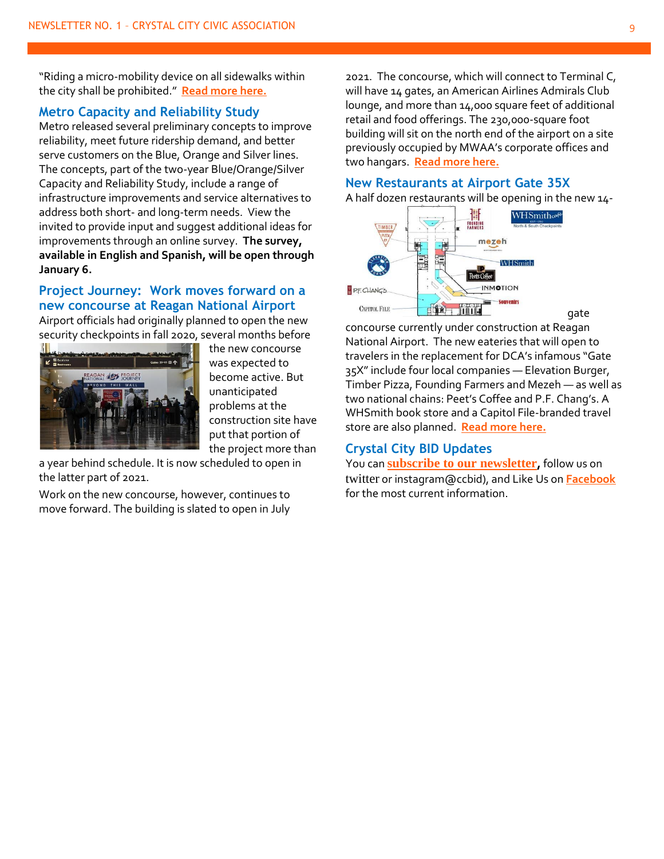"Riding a micro-mobility device on all sidewalks within the city shall be prohibited." **[Read more here.](https://www.alxnow.com/2019/12/16/alexandria-bans-electronic-scooters-from-all-city-sidewalks/?mc_cid=501bb915a1&mc_eid=e22d65c5c2&fbclid=IwAR13zU5iRz7f-voGzuK8JINr5y3qscjmFtwujubYI-BOkqAyFfhB9nVg0Gc)**

#### **Metro Capacity and Reliability Study**

Metro released several preliminary concepts to improve reliability, meet future ridership demand, and better serve customers on the Blue, Orange and Silver lines. The concepts, part of the two-year Blue/Orange/Silver Capacity and Reliability Study, include a range of infrastructure improvements and service alternatives to address both short- and long-term needs. View the invited to provide input and suggest additional ideas for improvements through an online survey. **The survey, available in English and Spanish, will be open through January 6.**

#### **Project Journey: Work moves forward on a new concourse at Reagan National Airport**

Airport officials had originally planned to open the new security checkpoints in fall 2020, several months before



the new concourse was expected to become active. But unanticipated problems at the construction site have put that portion of the project more than

a year behind schedule. It is now scheduled to open in the latter part of 2021.

Work on the new concourse, however, continues to move forward. The building is slated to open in July 2021. The concourse, which will connect to Terminal C, will have 14 gates, an American Airlines Admirals Club lounge, and more than 14,000 square feet of additional retail and food offerings. The 230,000-square foot building will sit on the north end of the airport on a site previously occupied by MWAA's corporate offices and two hangars. **[Read more here.](https://www.washingtonpost.com/local/trafficandcommuting/work-moves-forward-on-a-new-concourse-at-reagan-national-airport/2019/12/30/65235d8a-1dd1-11ea-8d58-5ac3600967a1_story.html?utm_campaign=local_headlines&utm_medium=Email&utm_source=Newsletter&wpisrc=nl_lclheads&wpmm=1)**

#### **New Restaurants at Airport Gate 35X**

A half dozen restaurants will be opening in the new 14-



concourse currently under construction at Reagan National Airport. The new eateries that will open to travelers in the replacement for DCA's infamous "Gate 35X" include four local companies — Elevation Burger, Timber Pizza, Founding Farmers and Mezeh — as well as two national chains: Peet's Coffee and P.F. Chang's. A WHSmith book store and a Capitol File-branded travel store are also planned. **[Read more here.](https://www.arlnow.com/2019/12/19/six-restaurants-coming-to-dcas-new-concourse/?mc_cid=ae769e3ea4&mc_eid=e22d65c5c2)**

#### **Crystal City BID Updates**

You can **[subscribe to our newsletter](https://www.crystalcity.org/subscribe),** follow us on [twitter](http://sg.geomailer.net/wf/click?upn=Vq-2BQveWjclNF-2BKWuDWwBHzxB2pFfrXszDPfYMvvWM-2Fo-3D_zb1QXmC-2FYFlCc5N0qvmxlcutV0U4XTkGEX-2F6dYUcpcskbBHlVPpFL42WURR7ItJODzR9ZhJ5G3OZNqrZGLqchZ-2Bv822rykBoF4wKqwMIm6V1F-2B08Am-2F4tKn-2Fz1S1wiM3e2iLr1xAKmYRFvskoZnBQpSiyd6DmPxZQTBhqj3DmlfpVxTWdMVhkVZKMQAJdqFx0YSk924-2BFNeVOutf-2BBI4aDlPW-2F2susSPDMGTYLa7xZ-2F-2B1dQq22w6EhNi6aEaRTbzfK0JFYrdiKegBlFDdz2PT1m1oNsVGDr-2Fpv-2BGsDJjVHQ-3D) or instagram@ccbid), and Like Us on **[Facebook](http://sg.geomailer.net/wf/click?upn=zOwe-2FII-2FqKYuL3cnbEEfYsTP-2FkLd-2BCGcwKgCdHb5rA2bC-2FkpzKFEePrBOFm5fmuL_zb1QXmC-2FYFlCc5N0qvmxlcutV0U4XTkGEX-2F6dYUcpcskbBHlVPpFL42WURR7ItJODzR9ZhJ5G3OZNqrZGLqchZ-2Bv822rykBoF4wKqwMIm6V1F-2B08Am-2F4tKn-2Fz1S1wiM3vdZyqYCp33rGxeeOJgO-2F1660UmDaDGY8gHdsP9baDPwIYG-2BdqrLVfsTnu7-2BnhgLfibx22-2B8F5fmw3M9rHU6Gp84EQAS51huZ3WdvctHP0scQWImru93Eb-2FwPhtJ9xE7gdLrhr5osFx62e4TuiYSJGTcSwOWGlAorD82kdzRVPKc-3D)** for the most current information.